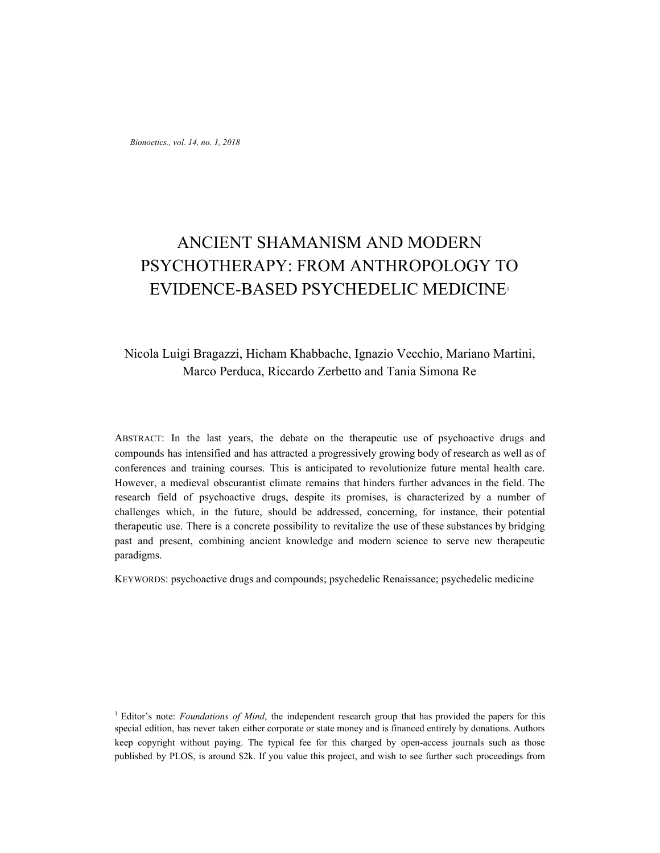*Bionoetics., vol. 14, no. 1, 2018*

# ANCIENT SHAMANISM AND MODERN PSYCHOTHERAPY: FROM ANTHROPOLOGY TO EVIDENCE-BASED PSYCHEDELIC MEDICINE<sup>1</sup>

# Nicola Luigi Bragazzi, Hicham Khabbache, Ignazio Vecchio, Mariano Martini, Marco Perduca, Riccardo Zerbetto and Tania Simona Re

ABSTRACT: In the last years, the debate on the therapeutic use of psychoactive drugs and compounds has intensified and has attracted a progressively growing body of research as well as of conferences and training courses. This is anticipated to revolutionize future mental health care. However, a medieval obscurantist climate remains that hinders further advances in the field. The research field of psychoactive drugs, despite its promises, is characterized by a number of challenges which, in the future, should be addressed, concerning, for instance, their potential therapeutic use. There is a concrete possibility to revitalize the use of these substances by bridging past and present, combining ancient knowledge and modern science to serve new therapeutic paradigms.

KEYWORDS: psychoactive drugs and compounds; psychedelic Renaissance; psychedelic medicine

<sup>1</sup> Editor's note: *Foundations of Mind*, the independent research group that has provided the papers for this special edition, has never taken either corporate or state money and is financed entirely by donations. Authors keep copyright without paying. The typical fee for this charged by open-access journals such as those published by PLOS, is around \$2k. If you value this project, and wish to see further such proceedings from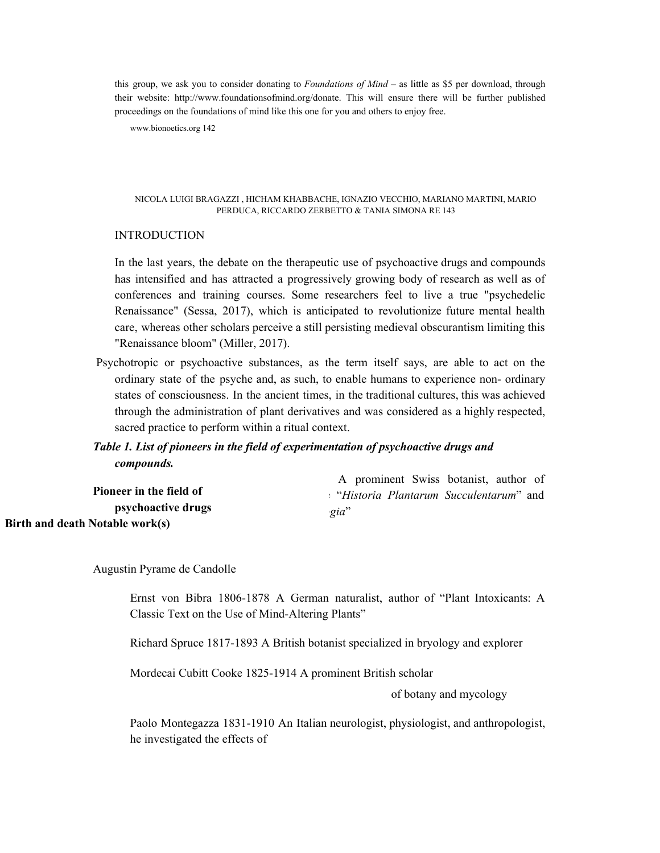this group, we ask you to consider donating to *Foundations of Mind* – as little as \$5 per download, through their website: http://www.foundationsofmind.org/donate. This will ensure there will be further published proceedings on the foundations of mind like this one for you and others to enjoy free.

www.bionoetics.org 142

#### NICOLA LUIGI BRAGAZZI , HICHAM KHABBACHE, IGNAZIO VECCHIO, MARIANO MARTINI, MARIO PERDUCA, RICCARDO ZERBETTO & TANIA SIMONA RE 143

### INTRODUCTION

In the last years, the debate on the therapeutic use of psychoactive drugs and compounds has intensified and has attracted a progressively growing body of research as well as of conferences and training courses. Some researchers feel to live a true "psychedelic Renaissance" (Sessa, 2017), which is anticipated to revolutionize future mental health care, whereas other scholars perceive a still persisting medieval obscurantism limiting this "Renaissance bloom" (Miller, 2017).

Psychotropic or psychoactive substances, as the term itself says, are able to act on the ordinary state of the psyche and, as such, to enable humans to experience non- ordinary states of consciousness. In the ancient times, in the traditional cultures, this was achieved through the administration of plant derivatives and was considered as a highly respected, sacred practice to perform within a ritual context.

## *Table 1. List of pioneers in the field of experimentation of psychoactive drugs and compounds.*

|                                 | A prominent Swiss botanist, author of  |
|---------------------------------|----------------------------------------|
| Pioneer in the field of         | "Historia Plantarum Succulentarum" and |
| psychoactive drugs              | gia"                                   |
| Birth and death Notable work(s) |                                        |

Augustin Pyrame de Candolle

Ernst von Bibra 1806-1878 A German naturalist, author of "Plant Intoxicants: A Classic Text on the Use of Mind-Altering Plants"

Richard Spruce 1817-1893 A British botanist specialized in bryology and explorer

Mordecai Cubitt Cooke 1825-1914 A prominent British scholar

of botany and mycology

Paolo Montegazza 1831-1910 An Italian neurologist, physiologist, and anthropologist, he investigated the effects of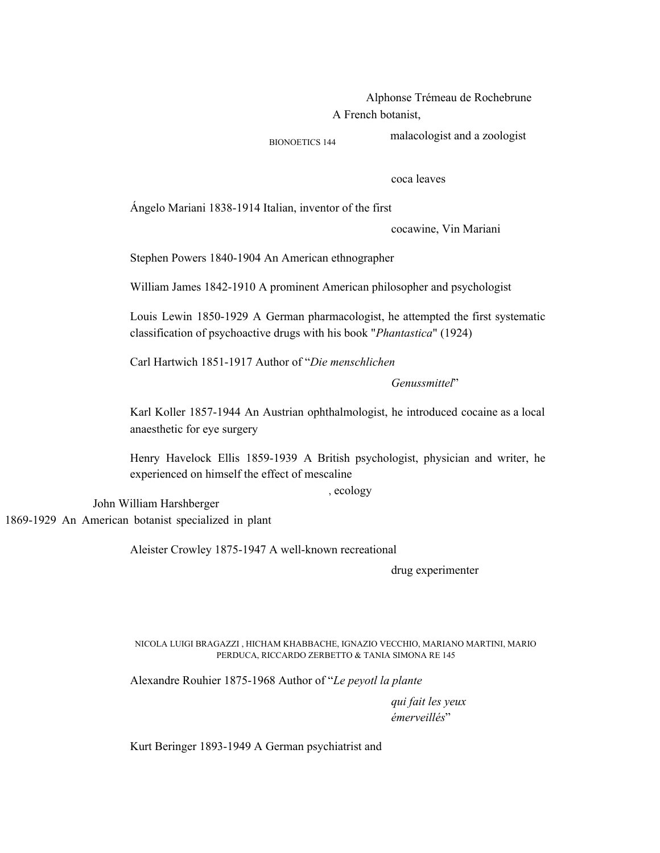Alphonse Trémeau de Rochebrune A French botanist,

BIONOETICS 144 malacologist and a zoologist

coca leaves

Ángelo Mariani 1838-1914 Italian, inventor of the first

cocawine, Vin Mariani

Stephen Powers 1840-1904 An American ethnographer

William James 1842-1910 A prominent American philosopher and psychologist

Louis Lewin 1850-1929 A German pharmacologist, he attempted the first systematic classification of psychoactive drugs with his book "*Phantastica*" (1924)

Carl Hartwich 1851-1917 Author of "*Die menschlichen*

*Genussmittel*"

Karl Koller 1857-1944 An Austrian ophthalmologist, he introduced cocaine as a local anaesthetic for eye surgery

Henry Havelock Ellis 1859-1939 A British psychologist, physician and writer, he experienced on himself the effect of mescaline

, ecology

John William Harshberger 1869-1929 An American botanist specialized in plant

Aleister Crowley 1875-1947 A well-known recreational

drug experimenter

NICOLA LUIGI BRAGAZZI , HICHAM KHABBACHE, IGNAZIO VECCHIO, MARIANO MARTINI, MARIO PERDUCA, RICCARDO ZERBETTO & TANIA SIMONA RE 145

Alexandre Rouhier 1875-1968 Author of "*Le peyotl la plante*

*qui fait les yeux émerveillés*"

Kurt Beringer 1893-1949 A German psychiatrist and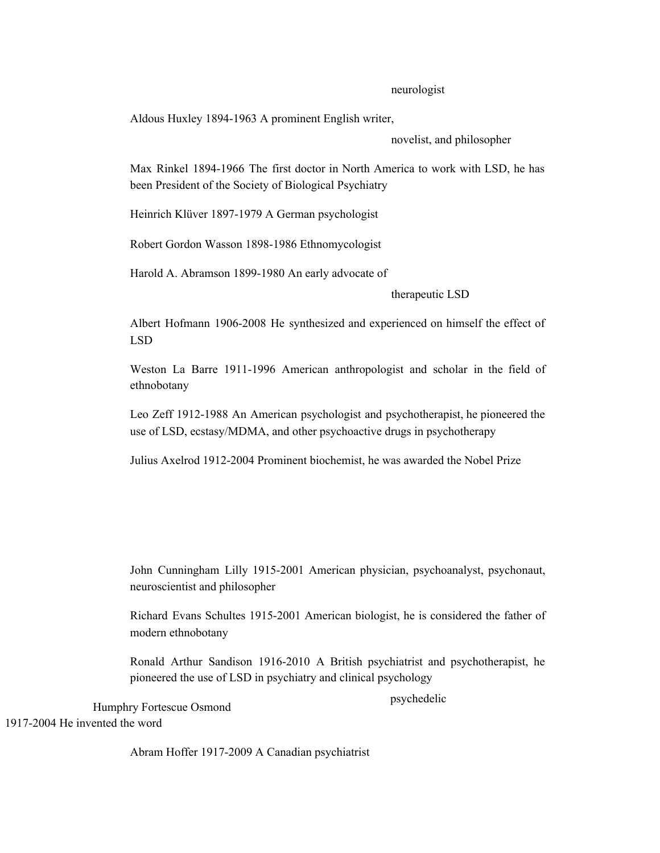### neurologist

Aldous Huxley 1894-1963 A prominent English writer,

novelist, and philosopher

Max Rinkel 1894-1966 The first doctor in North America to work with LSD, he has been President of the Society of Biological Psychiatry

Heinrich Klüver 1897-1979 A German psychologist

Robert Gordon Wasson 1898-1986 Ethnomycologist

Harold A. Abramson 1899-1980 An early advocate of

therapeutic LSD

Albert Hofmann 1906-2008 He synthesized and experienced on himself the effect of LSD

Weston La Barre 1911-1996 American anthropologist and scholar in the field of ethnobotany

Leo Zeff 1912-1988 An American psychologist and psychotherapist, he pioneered the use of LSD, ecstasy/MDMA, and other psychoactive drugs in psychotherapy

Julius Axelrod 1912-2004 Prominent biochemist, he was awarded the Nobel Prize

John Cunningham Lilly 1915-2001 American physician, psychoanalyst, psychonaut, neuroscientist and philosopher

Richard Evans Schultes 1915-2001 American biologist, he is considered the father of modern ethnobotany

Ronald Arthur Sandison 1916-2010 A British psychiatrist and psychotherapist, he pioneered the use of LSD in psychiatry and clinical psychology

Humphry Fortescue Osmond 1917-2004 He invented the word

psychedelic

Abram Hoffer 1917-2009 A Canadian psychiatrist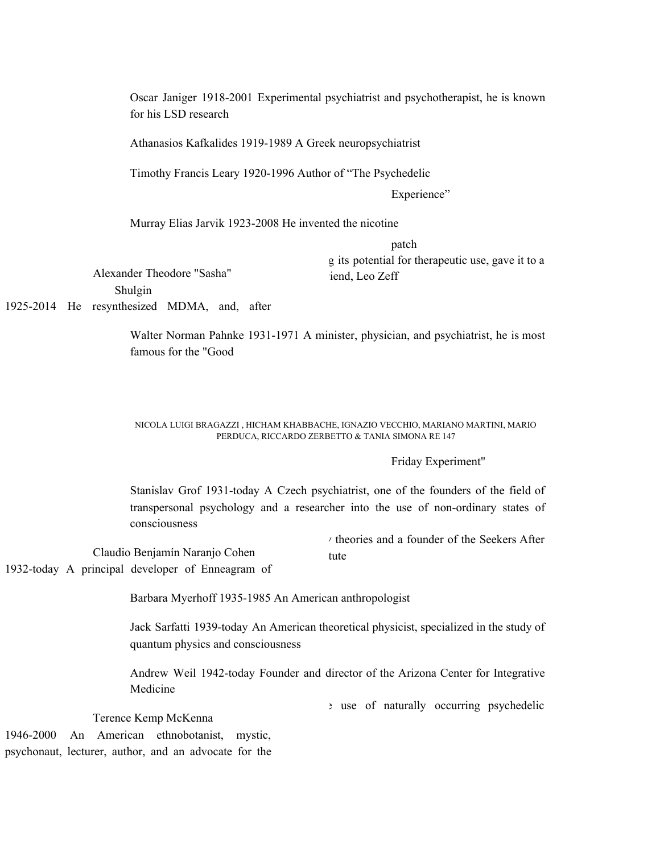Oscar Janiger 1918-2001 Experimental psychiatrist and psychotherapist, he is known for his LSD research

Athanasios Kafkalides 1919-1989 A Greek neuropsychiatrist

Timothy Francis Leary 1920-1996 Author of "The Psychedelic

Experience"

Murray Elias Jarvik 1923-2008 He invented the nicotine

patch

g its potential for therapeutic use, gave it to a iend. Leo Zeff

Alexander Theodore "Sasha" Shulgin

1925-2014 He resynthesized MDMA, and, after

Walter Norman Pahnke 1931-1971 A minister, physician, and psychiatrist, he is most famous for the "Good

#### NICOLA LUIGI BRAGAZZI , HICHAM KHABBACHE, IGNAZIO VECCHIO, MARIANO MARTINI, MARIO PERDUCA, RICCARDO ZERBETTO & TANIA SIMONA RE 147

## Friday Experiment"

Stanislav Grof 1931-today A Czech psychiatrist, one of the founders of the field of transpersonal psychology and a researcher into the use of non-ordinary states of consciousness

Claudio Benjamín Naranjo Cohen y theories and a founder of the Seekers After tute

1932-today A principal developer of Enneagram of

Barbara Myerhoff 1935-1985 An American anthropologist

Jack Sarfatti 1939-today An American theoretical physicist, specialized in the study of quantum physics and consciousness

Andrew Weil 1942-today Founder and director of the Arizona Center for Integrative Medicine

e use of naturally occurring psychedelic

Terence Kemp McKenna

1946-2000 An American ethnobotanist, mystic, psychonaut, lecturer, author, and an advocate for the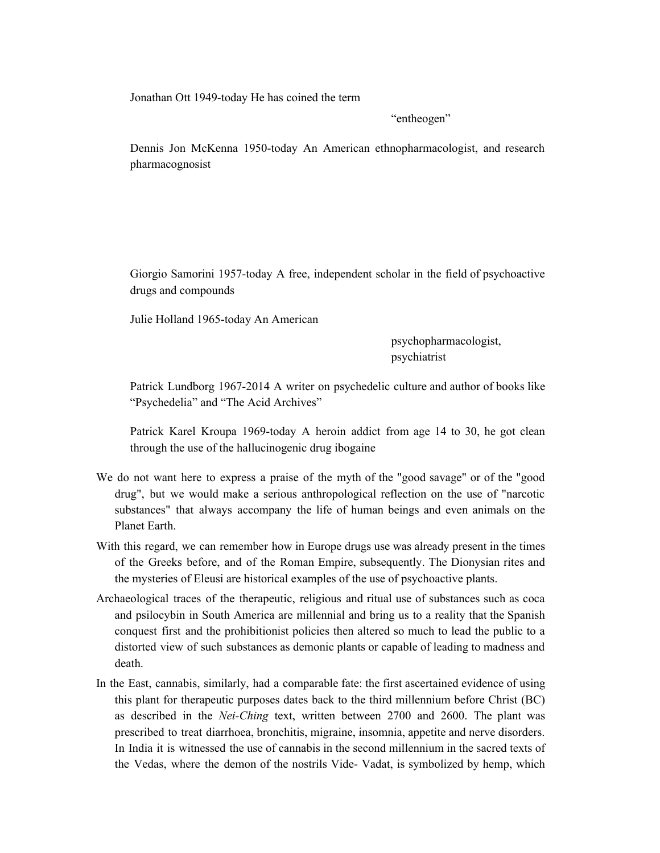Jonathan Ott 1949-today He has coined the term

"entheogen"

Dennis Jon McKenna 1950-today An American ethnopharmacologist, and research pharmacognosist

Giorgio Samorini 1957-today A free, independent scholar in the field of psychoactive drugs and compounds

Julie Holland 1965-today An American

psychopharmacologist, psychiatrist

Patrick Lundborg 1967-2014 A writer on psychedelic culture and author of books like "Psychedelia" and "The Acid Archives"

Patrick Karel Kroupa 1969-today A heroin addict from age 14 to 30, he got clean through the use of the hallucinogenic drug ibogaine

- We do not want here to express a praise of the myth of the "good savage" or of the "good drug", but we would make a serious anthropological reflection on the use of "narcotic substances" that always accompany the life of human beings and even animals on the Planet Earth.
- With this regard, we can remember how in Europe drugs use was already present in the times of the Greeks before, and of the Roman Empire, subsequently. The Dionysian rites and the mysteries of Eleusi are historical examples of the use of psychoactive plants.
- Archaeological traces of the therapeutic, religious and ritual use of substances such as coca and psilocybin in South America are millennial and bring us to a reality that the Spanish conquest first and the prohibitionist policies then altered so much to lead the public to a distorted view of such substances as demonic plants or capable of leading to madness and death.
- In the East, cannabis, similarly, had a comparable fate: the first ascertained evidence of using this plant for therapeutic purposes dates back to the third millennium before Christ (BC) as described in the *Nei-Ching* text, written between 2700 and 2600. The plant was prescribed to treat diarrhoea, bronchitis, migraine, insomnia, appetite and nerve disorders. In India it is witnessed the use of cannabis in the second millennium in the sacred texts of the Vedas, where the demon of the nostrils Vide- Vadat, is symbolized by hemp, which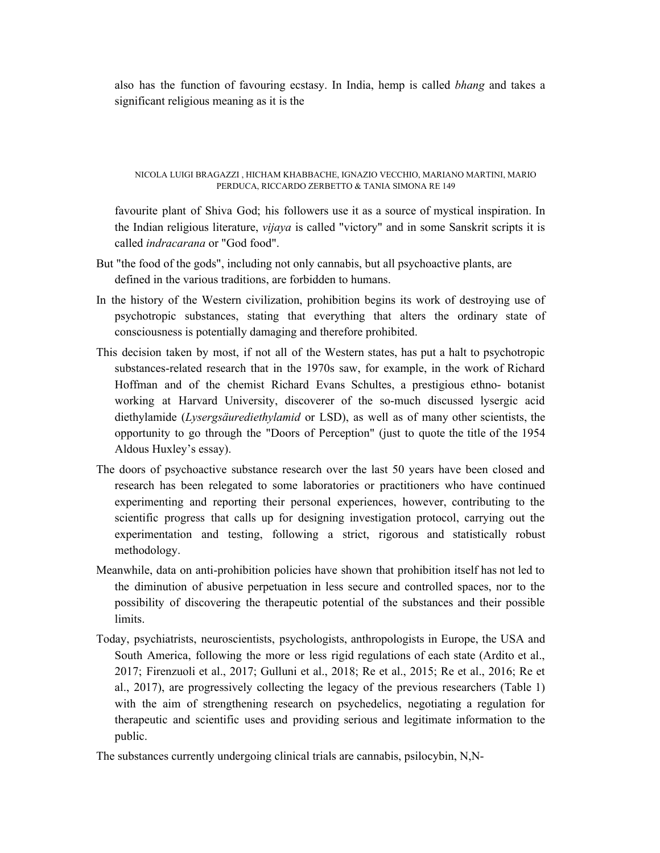also has the function of favouring ecstasy. In India, hemp is called *bhang* and takes a significant religious meaning as it is the

NICOLA LUIGI BRAGAZZI , HICHAM KHABBACHE, IGNAZIO VECCHIO, MARIANO MARTINI, MARIO PERDUCA, RICCARDO ZERBETTO & TANIA SIMONA RE 149

favourite plant of Shiva God; his followers use it as a source of mystical inspiration. In the Indian religious literature, *vijaya* is called "victory" and in some Sanskrit scripts it is called *indracarana* or "God food".

- But "the food of the gods", including not only cannabis, but all psychoactive plants, are defined in the various traditions, are forbidden to humans.
- In the history of the Western civilization, prohibition begins its work of destroying use of psychotropic substances, stating that everything that alters the ordinary state of consciousness is potentially damaging and therefore prohibited.
- This decision taken by most, if not all of the Western states, has put a halt to psychotropic substances-related research that in the 1970s saw, for example, in the work of Richard Hoffman and of the chemist Richard Evans Schultes, a prestigious ethno- botanist working at Harvard University, discoverer of the so-much discussed lysergic acid diethylamide (*Lysergsäurediethylamid* or LSD), as well as of many other scientists, the opportunity to go through the "Doors of Perception" (just to quote the title of the 1954 Aldous Huxley's essay).
- The doors of psychoactive substance research over the last 50 years have been closed and research has been relegated to some laboratories or practitioners who have continued experimenting and reporting their personal experiences, however, contributing to the scientific progress that calls up for designing investigation protocol, carrying out the experimentation and testing, following a strict, rigorous and statistically robust methodology.
- Meanwhile, data on anti-prohibition policies have shown that prohibition itself has not led to the diminution of abusive perpetuation in less secure and controlled spaces, nor to the possibility of discovering the therapeutic potential of the substances and their possible limits.
- Today, psychiatrists, neuroscientists, psychologists, anthropologists in Europe, the USA and South America, following the more or less rigid regulations of each state (Ardito et al., 2017; Firenzuoli et al., 2017; Gulluni et al., 2018; Re et al., 2015; Re et al., 2016; Re et al., 2017), are progressively collecting the legacy of the previous researchers (Table 1) with the aim of strengthening research on psychedelics, negotiating a regulation for therapeutic and scientific uses and providing serious and legitimate information to the public.

The substances currently undergoing clinical trials are cannabis, psilocybin, N,N-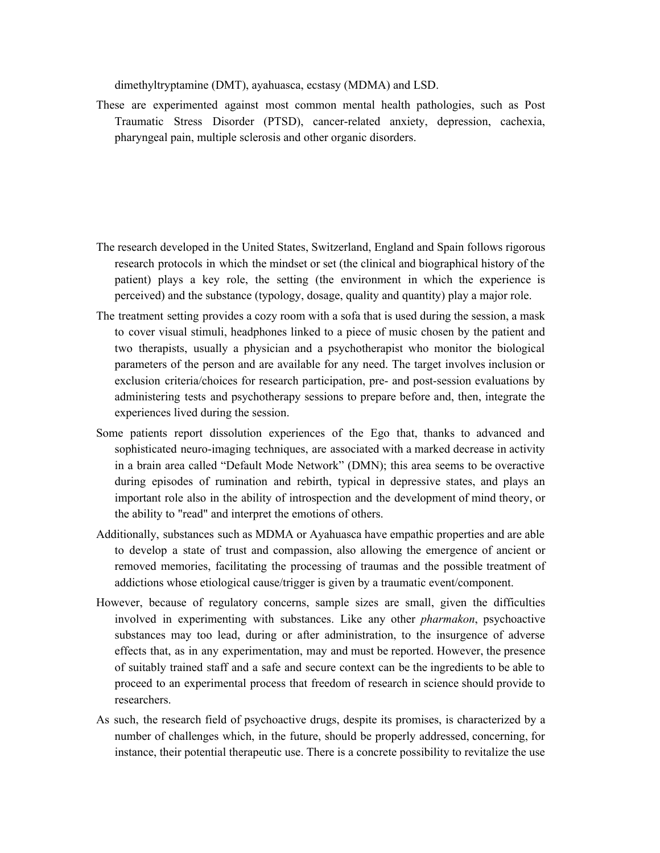dimethyltryptamine (DMT), ayahuasca, ecstasy (MDMA) and LSD.

These are experimented against most common mental health pathologies, such as Post Traumatic Stress Disorder (PTSD), cancer-related anxiety, depression, cachexia, pharyngeal pain, multiple sclerosis and other organic disorders.

- The research developed in the United States, Switzerland, England and Spain follows rigorous research protocols in which the mindset or set (the clinical and biographical history of the patient) plays a key role, the setting (the environment in which the experience is perceived) and the substance (typology, dosage, quality and quantity) play a major role.
- The treatment setting provides a cozy room with a sofa that is used during the session, a mask to cover visual stimuli, headphones linked to a piece of music chosen by the patient and two therapists, usually a physician and a psychotherapist who monitor the biological parameters of the person and are available for any need. The target involves inclusion or exclusion criteria/choices for research participation, pre- and post-session evaluations by administering tests and psychotherapy sessions to prepare before and, then, integrate the experiences lived during the session.
- Some patients report dissolution experiences of the Ego that, thanks to advanced and sophisticated neuro-imaging techniques, are associated with a marked decrease in activity in a brain area called "Default Mode Network" (DMN); this area seems to be overactive during episodes of rumination and rebirth, typical in depressive states, and plays an important role also in the ability of introspection and the development of mind theory, or the ability to "read" and interpret the emotions of others.
- Additionally, substances such as MDMA or Ayahuasca have empathic properties and are able to develop a state of trust and compassion, also allowing the emergence of ancient or removed memories, facilitating the processing of traumas and the possible treatment of addictions whose etiological cause/trigger is given by a traumatic event/component.
- However, because of regulatory concerns, sample sizes are small, given the difficulties involved in experimenting with substances. Like any other *pharmakon*, psychoactive substances may too lead, during or after administration, to the insurgence of adverse effects that, as in any experimentation, may and must be reported. However, the presence of suitably trained staff and a safe and secure context can be the ingredients to be able to proceed to an experimental process that freedom of research in science should provide to researchers.
- As such, the research field of psychoactive drugs, despite its promises, is characterized by a number of challenges which, in the future, should be properly addressed, concerning, for instance, their potential therapeutic use. There is a concrete possibility to revitalize the use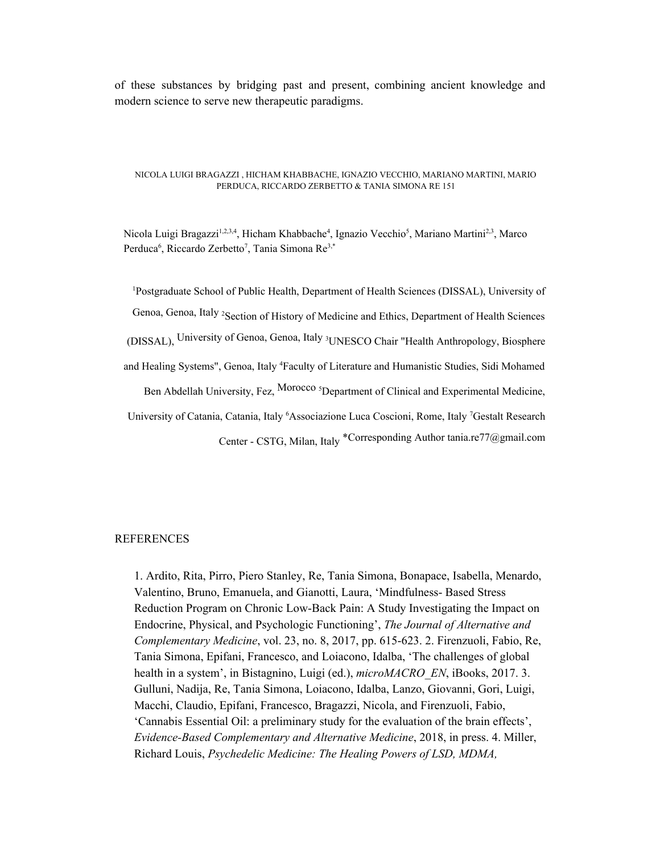of these substances by bridging past and present, combining ancient knowledge and modern science to serve new therapeutic paradigms.

#### NICOLA LUIGI BRAGAZZI , HICHAM KHABBACHE, IGNAZIO VECCHIO, MARIANO MARTINI, MARIO PERDUCA, RICCARDO ZERBETTO & TANIA SIMONA RE 151

Nicola Luigi Bragazzi<sup>1,2,3,4</sup>, Hicham Khabbache<sup>4</sup>, Ignazio Vecchio<sup>5</sup>, Mariano Martini<sup>2,3</sup>, Marco Perduca<sup>6</sup>, Riccardo Zerbetto<sup>7</sup>, Tania Simona Re<sup>3,\*</sup>

<sup>1</sup>Postgraduate School of Public Health, Department of Health Sciences (DISSAL), University of Genoa, Genoa, Italy <sup>2</sup>Section of History of Medicine and Ethics, Department of Health Sciences (DISSAL), University of Genoa, Genoa, Italy <sup>3</sup>UNESCO Chair "Health Anthropology, Biosphere and Healing Systems", Genoa, Italy <sup>4</sup>Faculty of Literature and Humanistic Studies, Sidi Mohamed Ben Abdellah University, Fez, Morocco <sup>5</sup>Department of Clinical and Experimental Medicine, University of Catania, Catania, Italy <sup>6</sup>Associazione Luca Coscioni, Rome, Italy <sup>7</sup>Gestalt Research Center - CSTG, Milan, Italy \*Corresponding Author tania.re77@gmail.com

### REFERENCES

1. Ardito, Rita, Pirro, Piero Stanley, Re, Tania Simona, Bonapace, Isabella, Menardo, Valentino, Bruno, Emanuela, and Gianotti, Laura, 'Mindfulness- Based Stress Reduction Program on Chronic Low-Back Pain: A Study Investigating the Impact on Endocrine, Physical, and Psychologic Functioning', *The Journal of Alternative and Complementary Medicine*, vol. 23, no. 8, 2017, pp. 615-623. 2. Firenzuoli, Fabio, Re, Tania Simona, Epifani, Francesco, and Loiacono, Idalba, 'The challenges of global health in a system', in Bistagnino, Luigi (ed.), *microMACRO\_EN*, iBooks, 2017. 3. Gulluni, Nadija, Re, Tania Simona, Loiacono, Idalba, Lanzo, Giovanni, Gori, Luigi, Macchi, Claudio, Epifani, Francesco, Bragazzi, Nicola, and Firenzuoli, Fabio, 'Cannabis Essential Oil: a preliminary study for the evaluation of the brain effects', *Evidence-Based Complementary and Alternative Medicine*, 2018, in press. 4. Miller, Richard Louis, *Psychedelic Medicine: The Healing Powers of LSD, MDMA,*